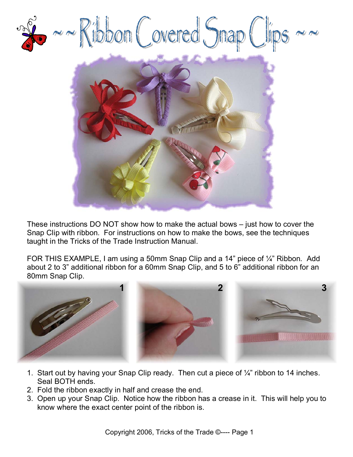

These instructions DO NOT show how to make the actual bows – just how to cover the Snap Clip with ribbon. For instructions on how to make the bows, see the techniques taught in the Tricks of the Trade Instruction Manual.

FOR THIS EXAMPLE, I am using a 50mm Snap Clip and a 14" piece of 1/4" Ribbon. Add about 2 to 3" additional ribbon for a 60mm Snap Clip, and 5 to 6" additional ribbon for an 80mm Snap Clip.



- 1. Start out by having your Snap Clip ready. Then cut a piece of ¼" ribbon to 14 inches. Seal BOTH ends.
- 2. Fold the ribbon exactly in half and crease the end.
- 3. Open up your Snap Clip. Notice how the ribbon has a crease in it. This will help you to know where the exact center point of the ribbon is.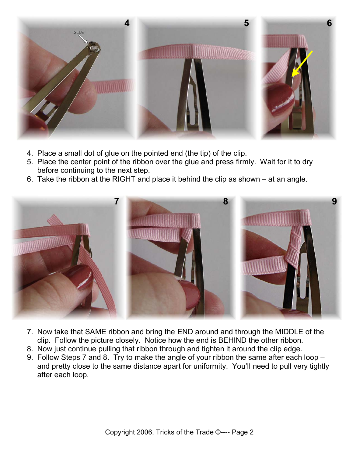

- 4. Place a small dot of glue on the pointed end (the tip) of the clip.
- 5. Place the center point of the ribbon over the glue and press firmly. Wait for it to dry before continuing to the next step.
- 6. Take the ribbon at the RIGHT and place it behind the clip as shown at an angle.



- 7. Now take that SAME ribbon and bring the END around and through the MIDDLE of the clip. Follow the picture closely. Notice how the end is BEHIND the other ribbon.
- 8. Now just continue pulling that ribbon through and tighten it around the clip edge.
- 9. Follow Steps 7 and 8. Try to make the angle of your ribbon the same after each loop and pretty close to the same distance apart for uniformity. You'll need to pull very tightly after each loop.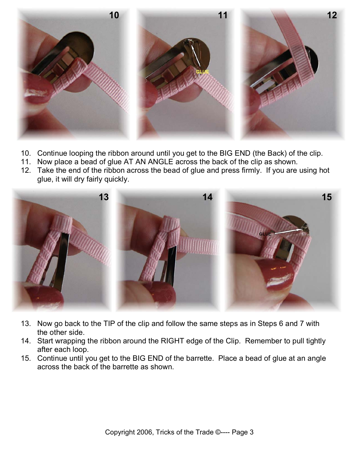

- 10. Continue looping the ribbon around until you get to the BIG END (the Back) of the clip.
- 11. Now place a bead of glue AT AN ANGLE across the back of the clip as shown.
- 12. Take the end of the ribbon across the bead of glue and press firmly. If you are using hot glue, it will dry fairly quickly.



- 13. Now go back to the TIP of the clip and follow the same steps as in Steps 6 and 7 with the other side.
- 14. Start wrapping the ribbon around the RIGHT edge of the Clip. Remember to pull tightly after each loop.
- 15. Continue until you get to the BIG END of the barrette. Place a bead of glue at an angle across the back of the barrette as shown.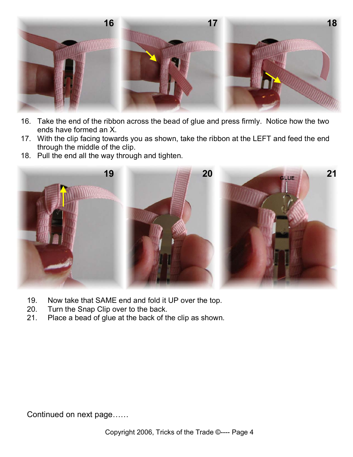

- 16. Take the end of the ribbon across the bead of glue and press firmly. Notice how the two ends have formed an X.
- 17. With the clip facing towards you as shown, take the ribbon at the LEFT and feed the end through the middle of the clip.
- 18. Pull the end all the way through and tighten.



- 19. Now take that SAME end and fold it UP over the top.
- 20. Turn the Snap Clip over to the back.
- 21. Place a bead of glue at the back of the clip as shown.

Continued on next page……